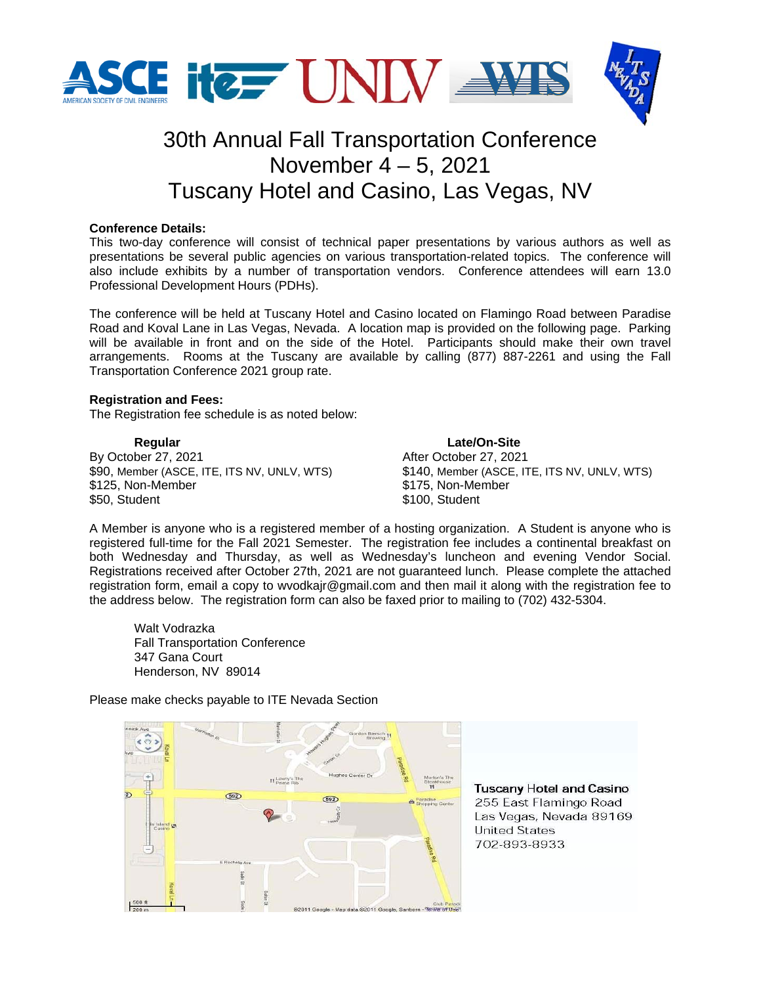

# 30th Annual Fall Transportation Conference November 4 – 5, 2021 Tuscany Hotel and Casino, Las Vegas, NV

## **Conference Details:**

This two-day conference will consist of technical paper presentations by various authors as well as presentations be several public agencies on various transportation-related topics. The conference will also include exhibits by a number of transportation vendors. Conference attendees will earn 13.0 Professional Development Hours (PDHs).

The conference will be held at Tuscany Hotel and Casino located on Flamingo Road between Paradise Road and Koval Lane in Las Vegas, Nevada. A location map is provided on the following page. Parking will be available in front and on the side of the Hotel. Participants should make their own travel arrangements. Rooms at the Tuscany are available by calling (877) 887-2261 and using the Fall Transportation Conference 2021 group rate.

### **Registration and Fees:**

The Registration fee schedule is as noted below:

**Regular Late/On-Site** By October 27, 2021<br>
\$90, Member (ASCE, ITE, ITS NV, UNLV, WTS)<br>
\$140, Member (ASCE, ITE, ITS NV, UNLV, WTS) \$90, Member (ASCE, ITE, ITS NV, UNLV, WTS) \$125, Non-Member \$175, Non-Member \$50, Student \$100, Student

A Member is anyone who is a registered member of a hosting organization. A Student is anyone who is registered full-time for the Fall 2021 Semester. The registration fee includes a continental breakfast on both Wednesday and Thursday, as well as Wednesday's luncheon and evening Vendor Social. Registrations received after October 27th, 2021 are not guaranteed lunch. Please complete the attached registration form, email a copy to wvodkajr@gmail.com and then mail it along with the registration fee to the address below. The registration form can also be faxed prior to mailing to (702) 432-5304.

 Walt Vodrazka Fall Transportation Conference 347 Gana Court Henderson, NV 89014

Please make checks payable to ITE Nevada Section

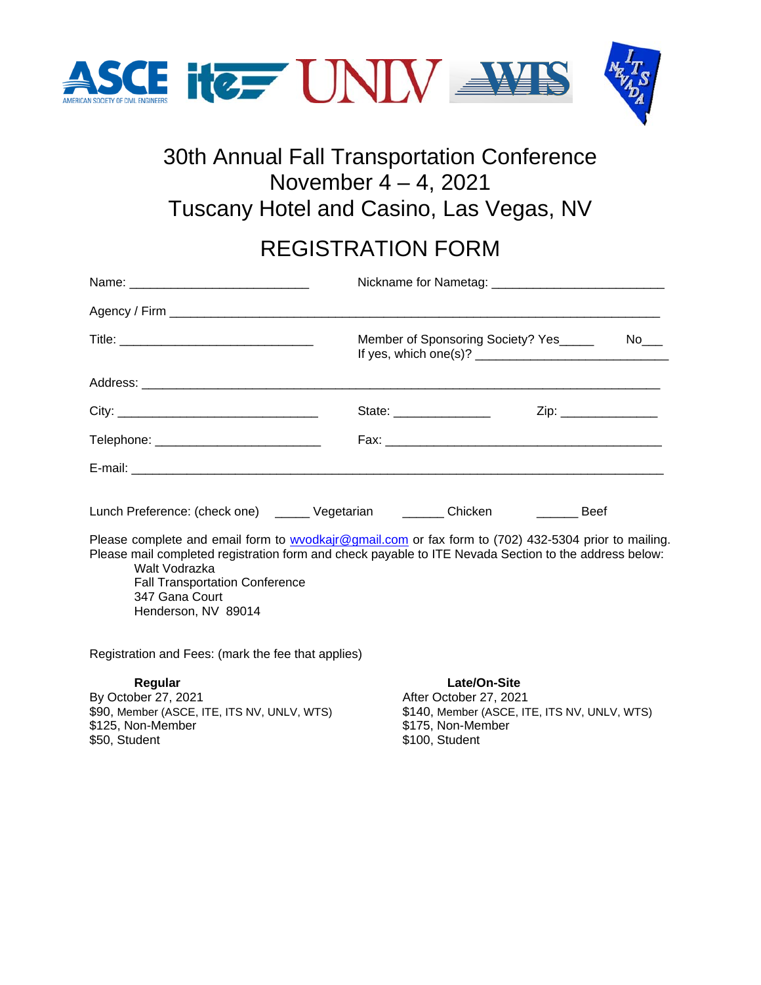

# 30th Annual Fall Transportation Conference November 4 – 4, 2021 Tuscany Hotel and Casino, Las Vegas, NV

# REGISTRATION FORM

|                                                                                                                                                                                                                                                                                                                  | State: _________________ | Zip: _______________ |  |
|------------------------------------------------------------------------------------------------------------------------------------------------------------------------------------------------------------------------------------------------------------------------------------------------------------------|--------------------------|----------------------|--|
| Telephone: ______________________________                                                                                                                                                                                                                                                                        |                          |                      |  |
|                                                                                                                                                                                                                                                                                                                  |                          |                      |  |
| Lunch Preference: (check one) _______ Vegetarian _________ Chicken ___________ Beef                                                                                                                                                                                                                              |                          |                      |  |
| Please complete and email form to wvodkajr@gmail.com or fax form to (702) 432-5304 prior to mailing.<br>Please mail completed registration form and check payable to ITE Nevada Section to the address below:<br>Walt Vodrazka<br><b>Fall Transportation Conference</b><br>347 Gana Court<br>Henderson, NV 89014 |                          |                      |  |
| Registration and Fees: (mark the fee that applies)                                                                                                                                                                                                                                                               |                          |                      |  |

**Regular Late/On-Site**<br>By October 27, 2021 **Regular** After October 27, 2021 By October 27, 2021<br>
\$90, Member (ASCE, ITE, ITS NV, UNLV, WTS) \$140, Member (ASCE, IT \$125, Non-Member \$175, Non-Member

\$140, Member (ASCE, ITE, ITS NV, UNLV, WTS) \$100, Student